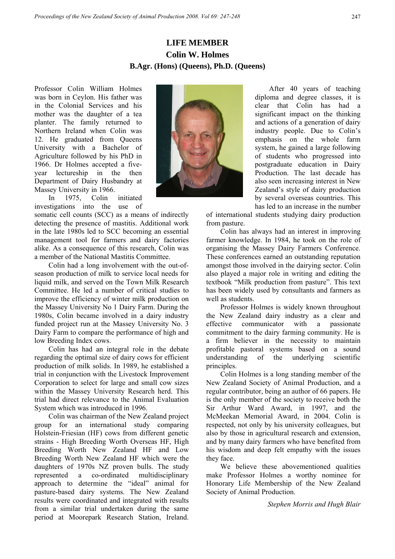## **LIFE MEMBER Colin W. Holmes B.Agr. (Hons) (Queens), Ph.D. (Queens)**

Professor Colin William Holmes was born in Ceylon. His father was in the Colonial Services and his mother was the daughter of a tea planter. The family returned to Northern Ireland when Colin was 12. He graduated from Queens University with a Bachelor of Agriculture followed by his PhD in 1966. Dr Holmes accepted a fiveyear lectureship in the then Department of Dairy Husbandry at Massey University in 1966.

In 1975, Colin initiated investigations into the use of

somatic cell counts (SCC) as a means of indirectly detecting the presence of mastitis. Additional work in the late 1980s led to SCC becoming an essential management tool for farmers and dairy factories alike. As a consequence of this research, Colin was a member of the National Mastitis Committee.

Colin had a long involvement with the out-ofseason production of milk to service local needs for liquid milk, and served on the Town Milk Research Committee. He led a number of critical studies to improve the efficiency of winter milk production on the Massey University No 1 Dairy Farm. During the 1980s, Colin became involved in a dairy industry funded project run at the Massey University No. 3 Dairy Farm to compare the performance of high and low Breeding Index cows.

Colin has had an integral role in the debate regarding the optimal size of dairy cows for efficient production of milk solids. In 1989, he established a trial in conjunction with the Livestock Improvement Corporation to select for large and small cow sizes within the Massey University Research herd. This trial had direct relevance to the Animal Evaluation System which was introduced in 1996.

Colin was chairman of the New Zealand project group for an international study comparing Holstein-Friesian (HF) cows from different genetic strains - High Breeding Worth Overseas HF, High Breeding Worth New Zealand HF and Low Breeding Worth New Zealand HF which were the daughters of 1970s NZ proven bulls. The study represented a co-ordinated multidisciplinary approach to determine the "ideal" animal for pasture-based dairy systems. The New Zealand results were coordinated and integrated with results from a similar trial undertaken during the same period at Moorepark Research Station, Ireland.



 After 40 years of teaching diploma and degree classes, it is clear that Colin has had a significant impact on the thinking and actions of a generation of dairy industry people. Due to Colin's emphasis on the whole farm system, he gained a large following of students who progressed into postgraduate education in Dairy Production. The last decade has also seen increasing interest in New Zealand's style of dairy production by several overseas countries. This has led to an increase in the number

of international students studying dairy production from pasture.

Colin has always had an interest in improving farmer knowledge. In 1984, he took on the role of organising the Massey Dairy Farmers Conference. These conferences earned an outstanding reputation amongst those involved in the dairying sector. Colin also played a major role in writing and editing the textbook "Milk production from pasture". This text has been widely used by consultants and farmers as well as students.

Professor Holmes is widely known throughout the New Zealand dairy industry as a clear and effective communicator with a passionate commitment to the dairy farming community. He is a firm believer in the necessity to maintain profitable pastoral systems based on a sound understanding of the underlying scientific principles.

Colin Holmes is a long standing member of the New Zealand Society of Animal Production, and a regular contributor, being an author of 66 papers. He is the only member of the society to receive both the Sir Arthur Ward Award, in 1997, and the McMeekan Memorial Award, in 2004. Colin is respected, not only by his university colleagues, but also by those in agricultural research and extension, and by many dairy farmers who have benefited from his wisdom and deep felt empathy with the issues they face.

We believe these abovementioned qualities make Professor Holmes a worthy nominee for Honorary Life Membership of the New Zealand Society of Animal Production.

*Stephen Morris and Hugh Blair*